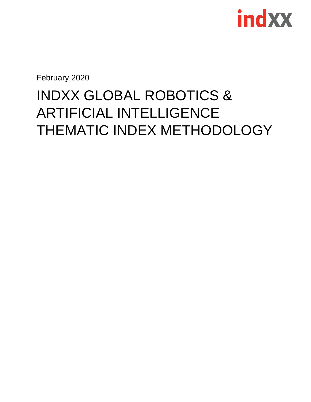

February 2020

### INDXX GLOBAL ROBOTICS & ARTIFICIAL INTELLIGENCE THEMATIC INDEX METHODOLOGY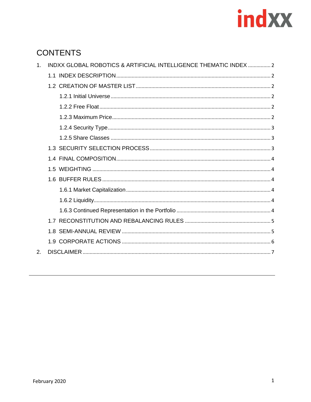# indxx

### **CONTENTS**

| $\mathbf{1}$ .              | INDXX GLOBAL ROBOTICS & ARTIFICIAL INTELLIGENCE THEMATIC INDEX  2 |  |
|-----------------------------|-------------------------------------------------------------------|--|
|                             |                                                                   |  |
|                             |                                                                   |  |
|                             |                                                                   |  |
|                             |                                                                   |  |
|                             |                                                                   |  |
|                             |                                                                   |  |
|                             |                                                                   |  |
|                             |                                                                   |  |
|                             |                                                                   |  |
|                             |                                                                   |  |
|                             |                                                                   |  |
|                             |                                                                   |  |
|                             |                                                                   |  |
|                             |                                                                   |  |
|                             |                                                                   |  |
|                             |                                                                   |  |
|                             |                                                                   |  |
| $\mathcal{P}_{\mathcal{C}}$ |                                                                   |  |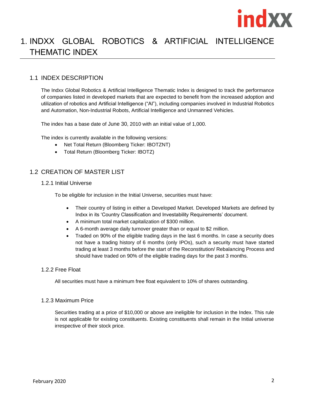

### <span id="page-2-0"></span>1. INDXX GLOBAL ROBOTICS & ARTIFICIAL INTELLIGENCE THEMATIC INDEX

#### <span id="page-2-1"></span>1.1 INDEX DESCRIPTION

The Indxx Global Robotics & Artificial Intelligence Thematic Index is designed to track the performance of companies listed in developed markets that are expected to benefit from the increased adoption and utilization of robotics and Artificial Intelligence ("AI"), including companies involved in Industrial Robotics and Automation, Non-Industrial Robots, Artificial Intelligence and Unmanned Vehicles.

The index has a base date of June 30, 2010 with an initial value of 1,000.

The index is currently available in the following versions:

- Net Total Return (Bloomberg Ticker: IBOTZNT)
- Total Return (Bloomberg Ticker: IBOTZ)

#### <span id="page-2-2"></span>1.2 CREATION OF MASTER LIST

<span id="page-2-3"></span>1.2.1 Initial Universe

To be eligible for inclusion in the Initial Universe, securities must have:

- Their country of listing in either a Developed Market. Developed Markets are defined by Indxx in its 'Country Classification and Investability Requirements' document.
- A minimum total market capitalization of \$300 million.
- A 6-month average daily turnover greater than or equal to \$2 million.
- Traded on 90% of the eligible trading days in the last 6 months. In case a security does not have a trading history of 6 months (only IPOs), such a security must have started trading at least 3 months before the start of the Reconstitution/ Rebalancing Process and should have traded on 90% of the eligible trading days for the past 3 months.

#### <span id="page-2-4"></span>1.2.2 Free Float

All securities must have a minimum free float equivalent to 10% of shares outstanding.

#### <span id="page-2-5"></span>1.2.3 Maximum Price

Securities trading at a price of \$10,000 or above are ineligible for inclusion in the Index. This rule is not applicable for existing constituents. Existing constituents shall remain in the Initial universe irrespective of their stock price.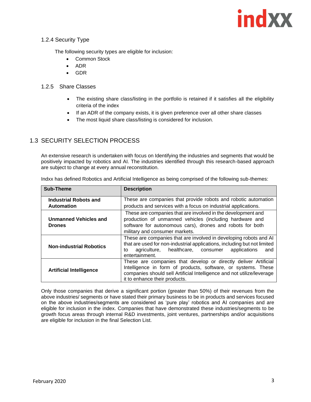#### <span id="page-3-0"></span>1.2.4 Security Type

The following security types are eligible for inclusion:

- Common Stock
- ADR
- GDR

#### <span id="page-3-1"></span>1.2.5 Share Classes

- The existing share class/listing in the portfolio is retained if it satisfies all the eligibility criteria of the index
- If an ADR of the company exists, it is given preference over all other share classes
- The most liquid share class/listing is considered for inclusion.

#### <span id="page-3-2"></span>1.3 SECURITY SELECTION PROCESS

An extensive research is undertaken with focus on Identifying the industries and segments that would be positively impacted by robotics and AI. The industries identified through this research-based approach are subject to change at every annual reconstitution.

| <b>Sub-Theme</b>               | <b>Description</b>                                                       |
|--------------------------------|--------------------------------------------------------------------------|
|                                |                                                                          |
| <b>Industrial Robots and</b>   | These are companies that provide robots and robotic automation           |
| <b>Automation</b>              | products and services with a focus on industrial applications.           |
|                                | These are companies that are involved in the development and             |
| <b>Unmanned Vehicles and</b>   | production of unmanned vehicles (including hardware and                  |
| <b>Drones</b>                  | software for autonomous cars), drones and robots for both                |
|                                | military and consumer markets.                                           |
|                                | These are companies that are involved in developing robots and AI        |
| <b>Non-industrial Robotics</b> | that are used for non-industrial applications, including but not limited |
|                                | healthcare, consumer<br>applications<br>agriculture,<br>and<br>to        |
|                                | entertainment.                                                           |
|                                | These are companies that develop or directly deliver Artificial          |
| <b>Artificial Intelligence</b> | Intelligence in form of products, software, or systems. These            |
|                                | companies should sell Artificial Intelligence and not utilize/leverage   |
|                                | it to enhance their products.                                            |

Indxx has defined Robotics and Artificial Intelligence as being comprised of the following sub-themes:

Only those companies that derive a significant portion (greater than 50%) of their revenues from the above industries/ segments or have stated their primary business to be in products and services focused on the above industries/segments are considered as 'pure play' robotics and AI companies and are eligible for inclusion in the index. Companies that have demonstrated these industries/segments to be growth focus areas through internal R&D investments, joint ventures, partnerships and/or acquisitions are eligible for inclusion in the final Selection List.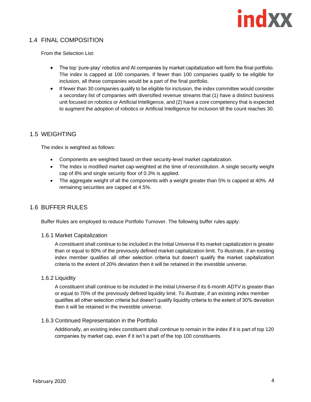#### <span id="page-4-0"></span>1.4 FINAL COMPOSITION

From the Selection List:

- The top 'pure-play' robotics and AI companies by market capitalization will form the final portfolio. The index is capped at 100 companies. If fewer than 100 companies qualify to be eligible for inclusion, all these companies would be a part of the final portfolio.
- If fewer than 30 companies qualify to be eligible for inclusion, the index committee would consider a secondary list of companies with diversified revenue streams that (1) have a distinct business unit focused on robotics or Artificial Intelligence, and (2) have a core competency that is expected to augment the adoption of robotics or Artificial Intelligence for inclusion till the count reaches 30.

#### <span id="page-4-1"></span>1.5 WEIGHTING

The index is weighted as follows:

- Components are weighted based on their security-level market capitalization.
- The Index is modified market cap-weighted at the time of reconstitution. A single security weight cap of 8% and single security floor of 0.3% is applied.
- The aggregate weight of all the components with a weight greater than 5% is capped at 40%. All remaining securities are capped at 4.5%.

#### <span id="page-4-2"></span>1.6 BUFFER RULES

Buffer Rules are employed to reduce Portfolio Turnover. The following buffer rules apply:

#### <span id="page-4-3"></span>1.6.1 Market Capitalization

A constituent shall continue to be included in the Initial Universe if its market capitalization is greater than or equal to 80% of the previously defined market capitalization limit. To illustrate, if an existing index member qualifies all other selection criteria but doesn't qualify the market capitalization criteria to the extent of 20% deviation then it will be retained in the investible universe.

#### <span id="page-4-4"></span>1.6.2 Liquidity

A constituent shall continue to be included in the Initial Universe if its 6-month ADTV is greater than or equal to 70% of the previously defined liquidity limit. To illustrate, if an existing index member qualifies all other selection criteria but doesn't qualify liquidity criteria to the extent of 30% deviation then it will be retained in the investible universe.

#### <span id="page-4-5"></span>1.6.3 Continued Representation in the Portfolio

Additionally, an existing index constituent shall continue to remain in the index if it is part of top 120 companies by market cap, even if it isn't a part of the top 100 constituents.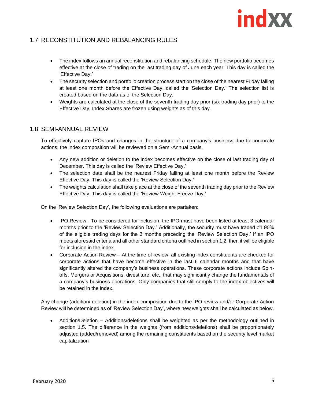#### <span id="page-5-0"></span>1.7 RECONSTITUTION AND REBALANCING RULES

- The index follows an annual reconstitution and rebalancing schedule. The new portfolio becomes effective at the close of trading on the last trading day of June each year. This day is called the 'Effective Day.'
- The security selection and portfolio creation process start on the close of the nearest Friday falling at least one month before the Effective Day, called the 'Selection Day.' The selection list is created based on the data as of the Selection Day.
- Weights are calculated at the close of the seventh trading day prior (six trading day prior) to the Effective Day. Index Shares are frozen using weights as of this day.

#### <span id="page-5-1"></span>1.8 SEMI-ANNUAL REVIEW

To effectively capture IPOs and changes in the structure of a company's business due to corporate actions, the index composition will be reviewed on a Semi-Annual basis.

- Any new addition or deletion to the index becomes effective on the close of last trading day of December. This day is called the 'Review Effective Day.'
- The selection date shall be the nearest Friday falling at least one month before the Review Effective Day. This day is called the 'Review Selection Day.'
- The weights calculation shall take place at the close of the seventh trading day prior to the Review Effective Day. This day is called the 'Review Weight Freeze Day.'

On the 'Review Selection Day', the following evaluations are partaken:

- IPO Review To be considered for inclusion, the IPO must have been listed at least 3 calendar months prior to the 'Review Selection Day.' Additionally, the security must have traded on 90% of the eligible trading days for the 3 months preceding the 'Review Selection Day.' If an IPO meets aforesaid criteria and all other standard criteria outlined in section 1.2, then it will be eligible for inclusion in the index.
- Corporate Action Review At the time of review, all existing index constituents are checked for corporate actions that have become effective in the last 6 calendar months and that have significantly altered the company's business operations. These corporate actions include Spinoffs, Mergers or Acquisitions, divestiture, etc., that may significantly change the fundamentals of a company's business operations. Only companies that still comply to the index objectives will be retained in the index.

Any change (addition/ deletion) in the index composition due to the IPO review and/or Corporate Action Review will be determined as of 'Review Selection Day', where new weights shall be calculated as below.

• Addition/Deletion – Additions/deletions shall be weighted as per the methodology outlined in section 1.5. The difference in the weights (from additions/deletions) shall be proportionately adjusted (added/removed) among the remaining constituents based on the security level market capitalization.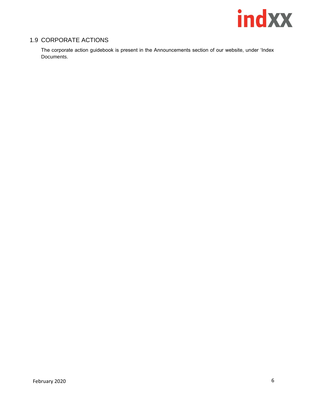

#### <span id="page-6-0"></span>1.9 CORPORATE ACTIONS

The corporate action guidebook is present in the Announcements section of our website, under 'Index Documents.